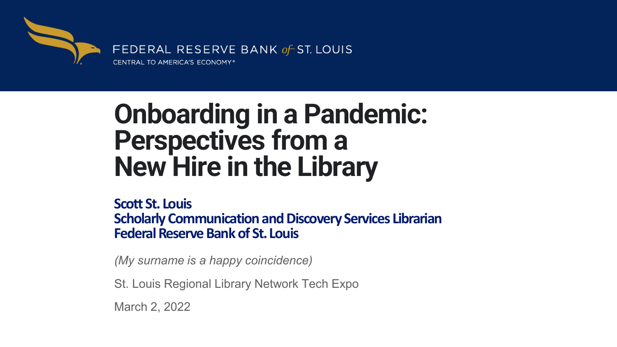

## **Onboarding in a Pandemic: Perspectives from a New Hire in the Library**

**Scott St. Louis Scholarly Communication and Discovery Services Librarian Federal Reserve Bank of St. Louis**

*(My surname is a happy coincidence)*

St. Louis Regional Library Network Tech Expo

March 2, 2022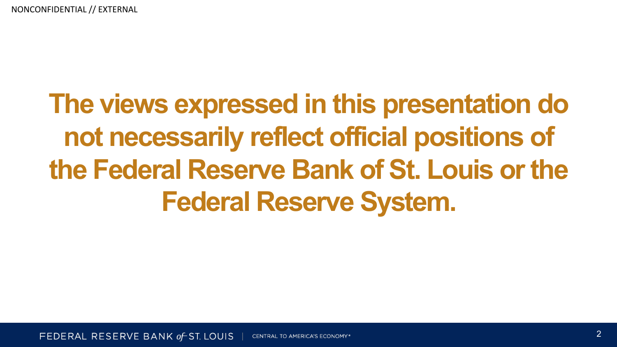# **The views expressed in this presentation do not necessarily reflect official positions of the Federal Reserve Bank of St. Louis or the Federal Reserve System.**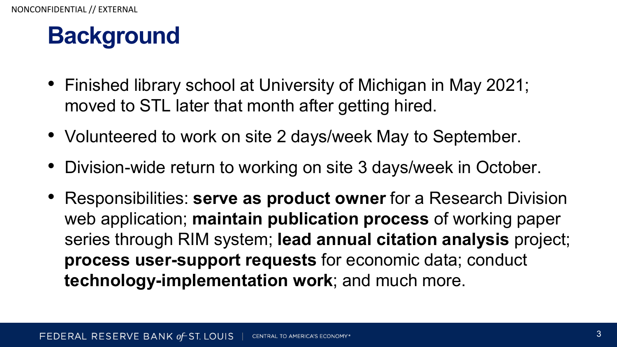## **Background**

- Finished library school at University of Michigan in May 2021; moved to STL later that month after getting hired.
- Volunteered to work on site 2 days/week May to September.
- Division-wide return to working on site 3 days/week in October.
- Responsibilities: **serve as product owner** for a Research Division web application; **maintain publication process** of working paper series through RIM system; **lead annual citation analysis** project; **process user-support requests** for economic data; conduct **technology-implementation work**; and much more.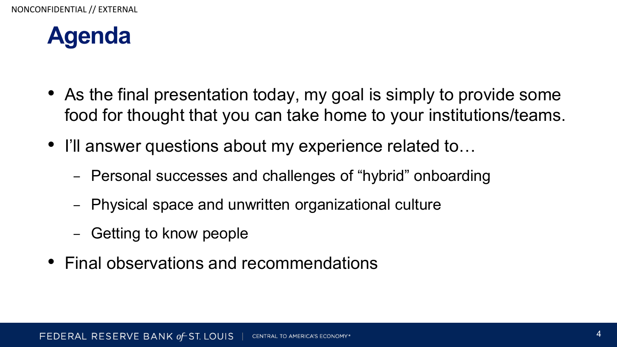

- As the final presentation today, my goal is simply to provide some food for thought that you can take home to your institutions/teams.
- I'll answer questions about my experience related to…
	- − Personal successes and challenges of "hybrid" onboarding
	- − Physical space and unwritten organizational culture
	- − Getting to know people
- Final observations and recommendations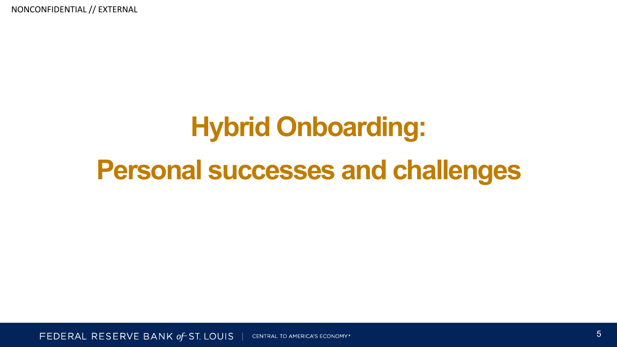# **Hybrid Onboarding:**

## **Personal successes and challenges**

FEDERAL RESERVE BANK of ST. LOUIS **CENTRAL TO AMERICA'S ECONOMY\***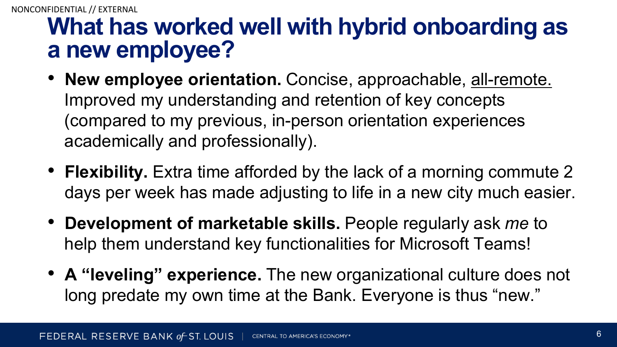## **What has worked well with hybrid onboarding as a new employee?**

- **New employee orientation.** Concise, approachable, all-remote. Improved my understanding and retention of key concepts (compared to my previous, in-person orientation experiences academically and professionally).
- **Flexibility.** Extra time afforded by the lack of a morning commute 2 days per week has made adjusting to life in a new city much easier.
- **Development of marketable skills.** People regularly ask *me* to help them understand key functionalities for Microsoft Teams!
- **A "leveling" experience.** The new organizational culture does not long predate my own time at the Bank. Everyone is thus "new."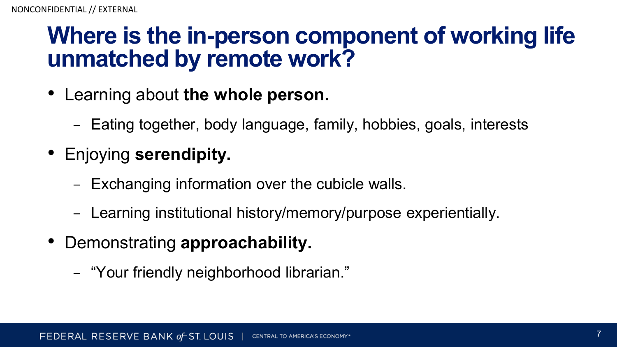## **Where is the in-person component of working life unmatched by remote work?**

- Learning about **the whole person.**
	- − Eating together, body language, family, hobbies, goals, interests
- Enjoying **serendipity.**
	- − Exchanging information over the cubicle walls.
	- − Learning institutional history/memory/purpose experientially.
- Demonstrating **approachability.**
	- − "Your friendly neighborhood librarian."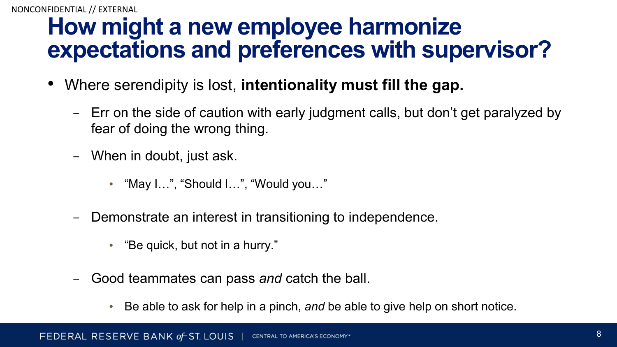## **How might a new employee harmonize expectations and preferences with supervisor?**

- Where serendipity is lost, **intentionality must fill the gap.**
	- − Err on the side of caution with early judgment calls, but don't get paralyzed by fear of doing the wrong thing.
	- − When in doubt, just ask.
		- "May I…", "Should I…", "Would you…"
	- − Demonstrate an interest in transitioning to independence.
		- "Be quick, but not in a hurry."
	- − Good teammates can pass *and* catch the ball.
		- Be able to ask for help in a pinch, *and* be able to give help on short notice.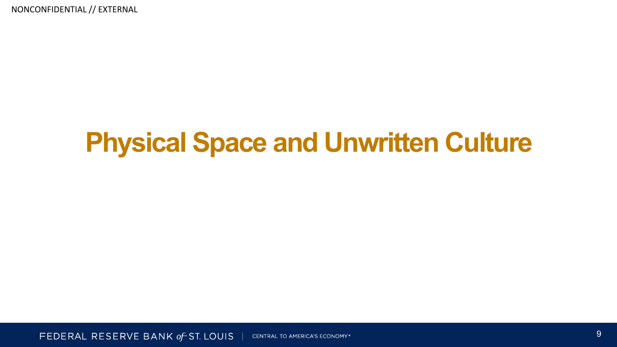## **Physical Space and Unwritten Culture**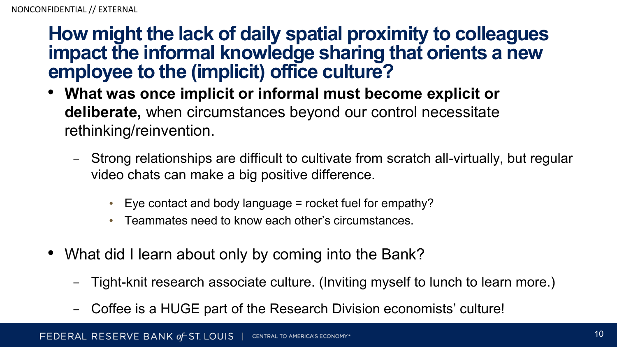## **How might the lack of daily spatial proximity to colleagues impact the informal knowledge sharing that orients a new employee to the (implicit) office culture?**

- **What was once implicit or informal must become explicit or deliberate,** when circumstances beyond our control necessitate rethinking/reinvention.
	- − Strong relationships are difficult to cultivate from scratch all-virtually, but regular video chats can make a big positive difference.
		- Eye contact and body language  $=$  rocket fuel for empathy?
		- Teammates need to know each other's circumstances.
- What did I learn about only by coming into the Bank?
	- − Tight-knit research associate culture. (Inviting myself to lunch to learn more.)
	- − Coffee is a HUGE part of the Research Division economists' culture!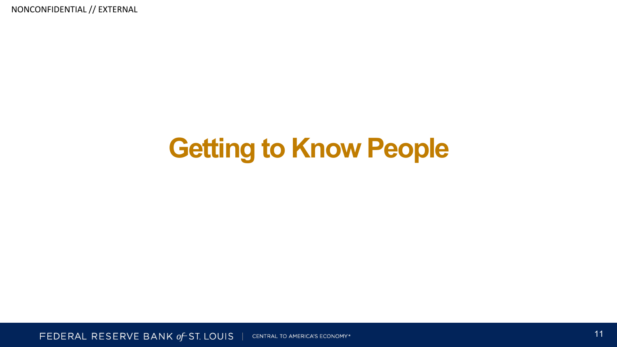## **Getting to Know People**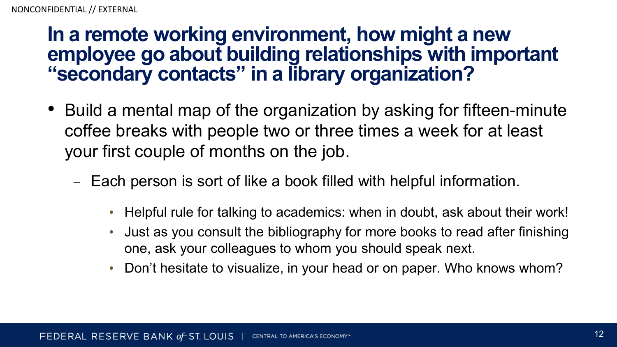## **In a remote working environment, how might a new employee go about building relationships with important "secondary contacts" in a library organization?**

- Build a mental map of the organization by asking for fifteen-minute coffee breaks with people two or three times a week for at least your first couple of months on the job.
	- − Each person is sort of like a book filled with helpful information.
		- Helpful rule for talking to academics: when in doubt, ask about their work!
		- Just as you consult the bibliography for more books to read after finishing one, ask your colleagues to whom you should speak next.
		- Don't hesitate to visualize, in your head or on paper. Who knows whom?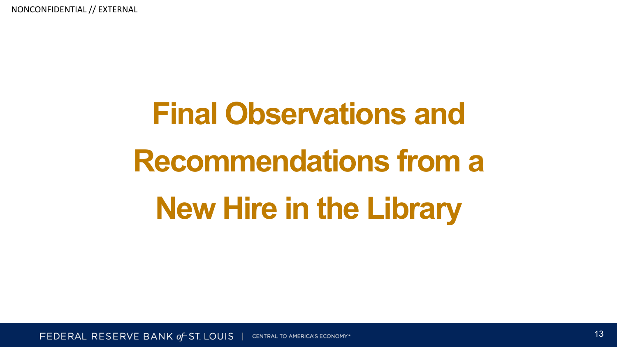# **Final Observations and Recommendations from a New Hire in the Library**

FEDERAL RESERVE BANK of ST. LOUIS **CENTRAL TO AMERICA'S ECONOMY\***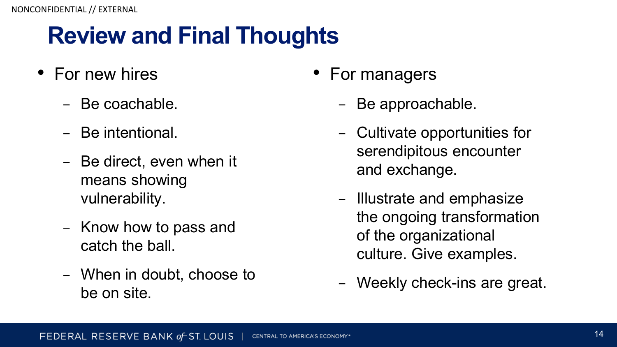## **Review and Final Thoughts**

- For new hires
	- − Be coachable.
	- − Be intentional.
	- − Be direct, even when it means showing vulnerability.
	- − Know how to pass and catch the ball.
	- − When in doubt, choose to be on site.
- For managers
	- − Be approachable.
	- − Cultivate opportunities for serendipitous encounter and exchange.
	- − Illustrate and emphasize the ongoing transformation of the organizational culture. Give examples.
	- − Weekly check-ins are great.